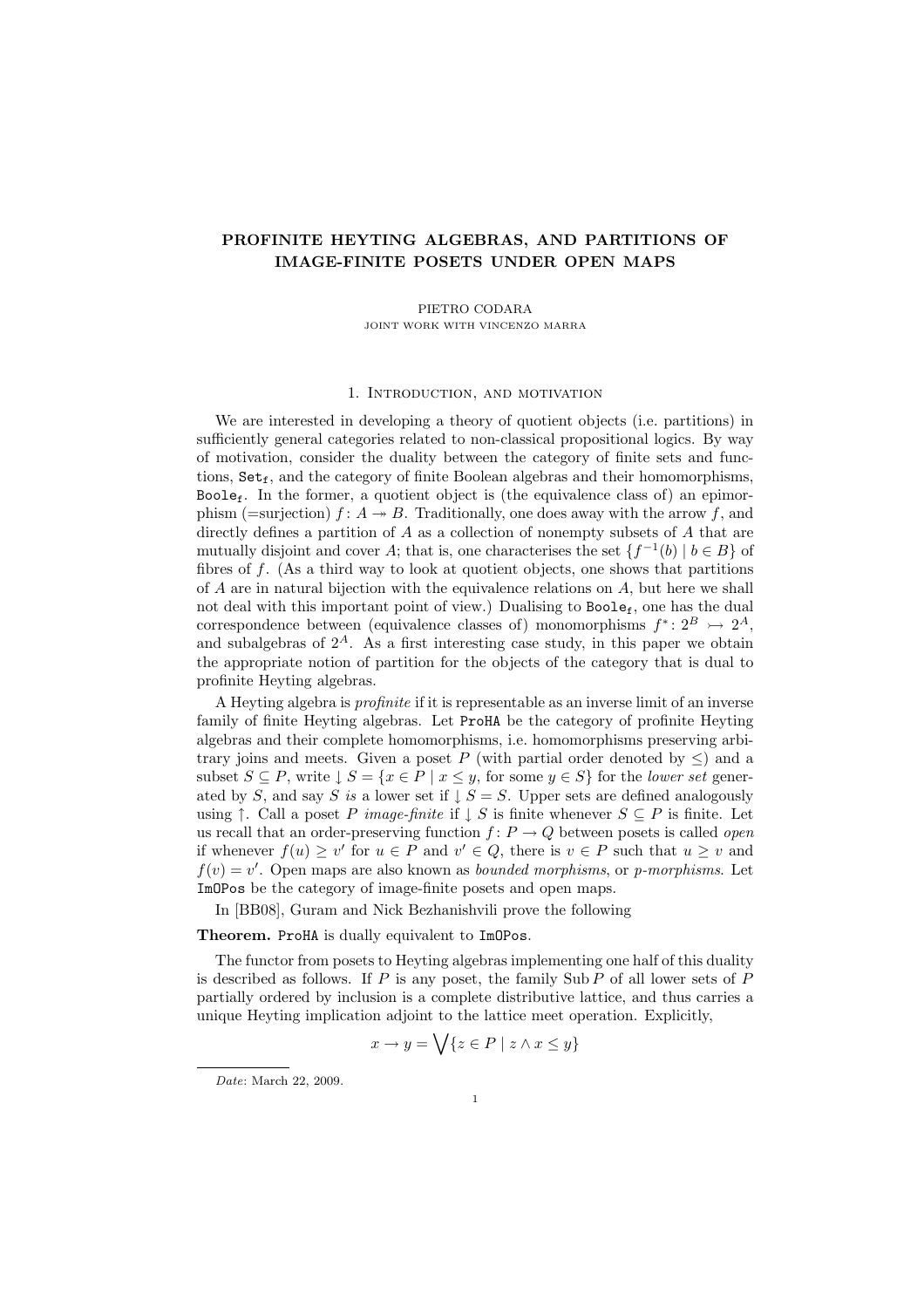# PROFINITE HEYTING ALGEBRAS, AND PARTITIONS OF IMAGE-FINITE POSETS UNDER OPEN MAPS

PIETRO CODARA

JOINT WORK WITH VINCENZO MARRA

### 1. Introduction, and motivation

We are interested in developing a theory of quotient objects (i.e. partitions) in sufficiently general categories related to non-classical propositional logics. By way of motivation, consider the duality between the category of finite sets and functions,  $Set_f$ , and the category of finite Boolean algebras and their homomorphisms, Boole<sub>f</sub>. In the former, a quotient object is (the equivalence class of) an epimorphism (=surjection)  $f: A \rightarrow B$ . Traditionally, one does away with the arrow f, and directly defines a partition of A as a collection of nonempty subsets of A that are mutually disjoint and cover A; that is, one characterises the set  $\{f^{-1}(b) \mid b \in B\}$  of fibres of  $f$ . (As a third way to look at quotient objects, one shows that partitions of  $A$  are in natural bijection with the equivalence relations on  $A$ , but here we shall not deal with this important point of view.) Dualising to  $\text{Boole}_f$ , one has the dual correspondence between (equivalence classes of) monomorphisms  $f^* \colon 2^B \rightarrow 2^A$ , and subalgebras of  $2^A$ . As a first interesting case study, in this paper we obtain the appropriate notion of partition for the objects of the category that is dual to profinite Heyting algebras.

A Heyting algebra is profinite if it is representable as an inverse limit of an inverse family of finite Heyting algebras. Let ProHA be the category of profinite Heyting algebras and their complete homomorphisms, i.e. homomorphisms preserving arbitrary joins and meets. Given a poset P (with partial order denoted by  $\leq$ ) and a subset  $S \subseteq P$ , write  $\downarrow S = \{x \in P \mid x \leq y$ , for some  $y \in S\}$  for the lower set generated by S, and say S is a lower set if  $\downarrow$  S = S. Upper sets are defined analogously using  $\uparrow$ . Call a poset P image-finite if  $\downarrow$  S is finite whenever  $S \subseteq P$  is finite. Let us recall that an order-preserving function  $f: P \to Q$  between posets is called *open* if whenever  $f(u) \geq v'$  for  $u \in P$  and  $v' \in Q$ , there is  $v \in P$  such that  $u \geq v$  and  $f(v) = v'$ . Open maps are also known as *bounded morphisms*, or *p*-morphisms. Let ImOPos be the category of image-finite posets and open maps.

In [BB08], Guram and Nick Bezhanishvili prove the following

# Theorem. ProHA is dually equivalent to ImOPos.

The functor from posets to Heyting algebras implementing one half of this duality is described as follows. If  $P$  is any poset, the family Sub  $P$  of all lower sets of  $P$ partially ordered by inclusion is a complete distributive lattice, and thus carries a unique Heyting implication adjoint to the lattice meet operation. Explicitly,  $\overline{\phantom{a}}$ 

$$
x \to y = \bigvee \{ z \in P \mid z \wedge x \le y \}
$$

Date: March 22, 2009.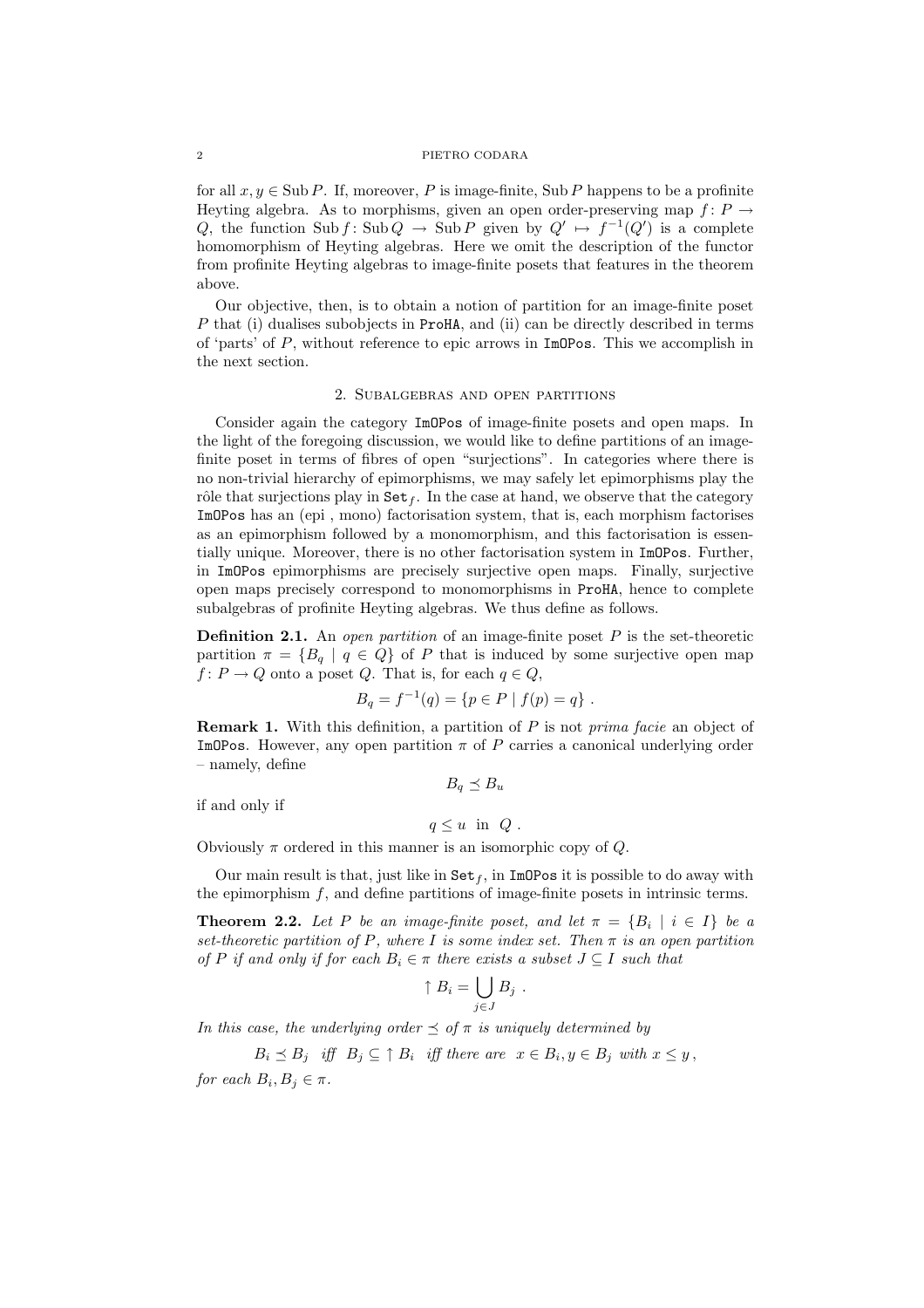for all  $x, y \in Sub P$ . If, moreover, P is image-finite, Sub P happens to be a profinite Heyting algebra. As to morphisms, given an open order-preserving map  $f: P \rightarrow$ Q, the function Sub  $f: Sub Q \to Sub P$  given by  $Q' \mapsto f^{-1}(Q')$  is a complete homomorphism of Heyting algebras. Here we omit the description of the functor from profinite Heyting algebras to image-finite posets that features in the theorem above.

Our objective, then, is to obtain a notion of partition for an image-finite poset P that (i) dualises subobjects in ProHA, and (ii) can be directly described in terms of 'parts' of  $P$ , without reference to epic arrows in  $\text{Im} \Omega$  or This we accomplish in the next section.

#### 2. Subalgebras and open partitions

Consider again the category ImOPos of image-finite posets and open maps. In the light of the foregoing discussion, we would like to define partitions of an imagefinite poset in terms of fibres of open "surjections". In categories where there is no non-trivial hierarchy of epimorphisms, we may safely let epimorphisms play the rôle that surjections play in  $\text{Set}_f$ . In the case at hand, we observe that the category ImOPos has an (epi , mono) factorisation system, that is, each morphism factorises as an epimorphism followed by a monomorphism, and this factorisation is essentially unique. Moreover, there is no other factorisation system in ImOPos. Further, in ImOPos epimorphisms are precisely surjective open maps. Finally, surjective open maps precisely correspond to monomorphisms in ProHA, hence to complete subalgebras of profinite Heyting algebras. We thus define as follows.

**Definition 2.1.** An open partition of an image-finite poset  $P$  is the set-theoretic partition  $\pi = \{B_q \mid q \in Q\}$  of P that is induced by some surjective open map  $f: P \to Q$  onto a poset  $Q$ . That is, for each  $q \in Q$ ,

$$
B_q = f^{-1}(q) = \{ p \in P \mid f(p) = q \} .
$$

**Remark 1.** With this definition, a partition of  $P$  is not *prima facie* an object of **ImOPos.** However, any open partition  $\pi$  of P carries a canonical underlying order – namely, define

if and only if

 $B_q \preceq B_u$ 

 $q \leq u$  in Q.

Obviously  $\pi$  ordered in this manner is an isomorphic copy of  $Q$ .

Our main result is that, just like in  $\texttt{Set}_f$ , in ImOPos it is possible to do away with the epimorphism f, and define partitions of image-finite posets in intrinsic terms.

**Theorem 2.2.** Let P be an image-finite poset, and let  $\pi = \{B_i \mid i \in I\}$  be a set-theoretic partition of P, where I is some index set. Then  $\pi$  is an open partition of P if and only if for each  $B_i \in \pi$  there exists a subset  $J \subseteq I$  such that

$$
\uparrow B_i = \bigcup_{j \in J} B_j \ .
$$

In this case, the underlying order  $\preceq$  of  $\pi$  is uniquely determined by

 $B_i \preceq B_j$  iff  $B_j \subseteq \uparrow B_i$  iff there are  $x \in B_i, y \in B_j$  with  $x \leq y$ ,

for each  $B_i, B_j \in \pi$ .